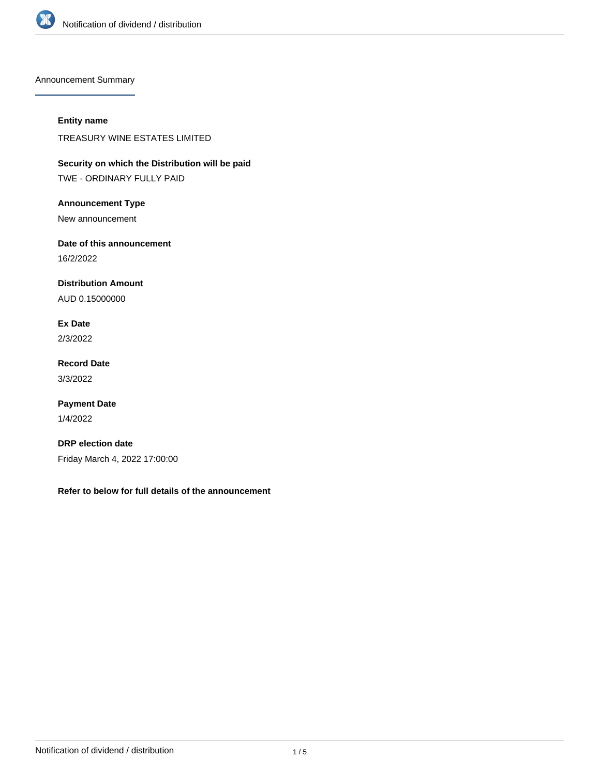

Announcement Summary

## **Entity name**

TREASURY WINE ESTATES LIMITED

**Security on which the Distribution will be paid** TWE - ORDINARY FULLY PAID

**Announcement Type**

New announcement

**Date of this announcement**

16/2/2022

**Distribution Amount**

AUD 0.15000000

**Ex Date** 2/3/2022

**Record Date** 3/3/2022

**Payment Date** 1/4/2022

**DRP election date** Friday March 4, 2022 17:00:00

**Refer to below for full details of the announcement**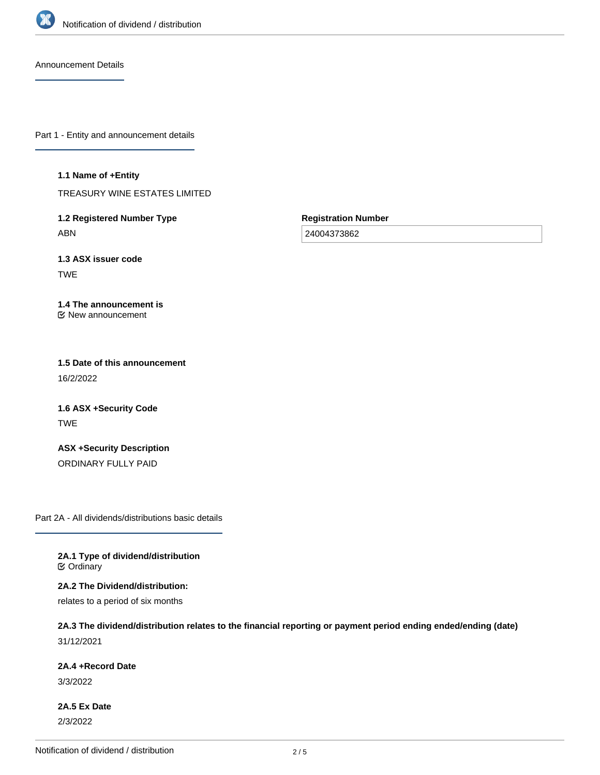

Announcement Details

Part 1 - Entity and announcement details

#### **1.1 Name of +Entity**

TREASURY WINE ESTATES LIMITED

**1.2 Registered Number Type** ABN

**Registration Number**

24004373862

**1.3 ASX issuer code** TWE

#### **1.4 The announcement is** New announcement

**1.5 Date of this announcement** 16/2/2022

**1.6 ASX +Security Code** TWE

**ASX +Security Description** ORDINARY FULLY PAID

Part 2A - All dividends/distributions basic details

**2A.1 Type of dividend/distribution C** Ordinary

**2A.2 The Dividend/distribution:**

relates to a period of six months

# **2A.3 The dividend/distribution relates to the financial reporting or payment period ending ended/ending (date)**

31/12/2021

**2A.4 +Record Date**

3/3/2022

**2A.5 Ex Date** 2/3/2022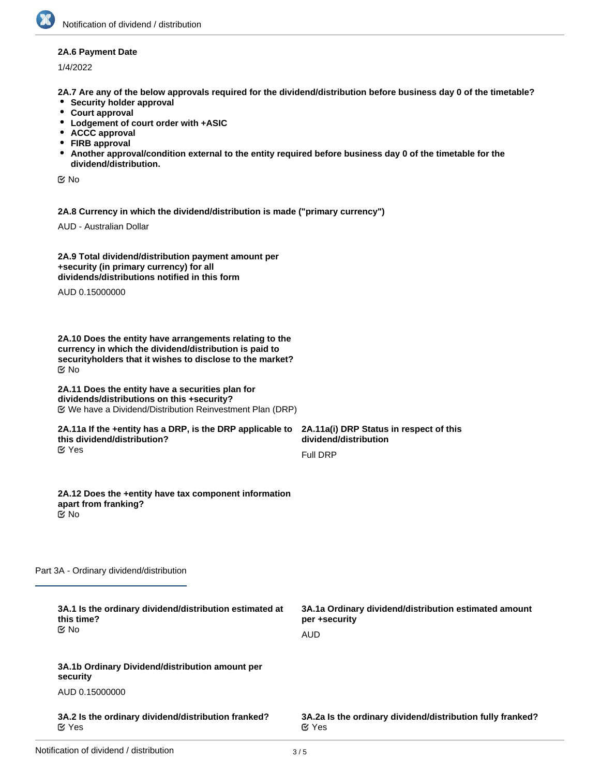## **2A.6 Payment Date**

1/4/2022

**2A.7 Are any of the below approvals required for the dividend/distribution before business day 0 of the timetable?**

- **•** Security holder approval
- **Court approval**
- **Lodgement of court order with +ASIC**
- **ACCC approval**
- **FIRB approval**
- **Another approval/condition external to the entity required before business day 0 of the timetable for the dividend/distribution.**

No

**2A.8 Currency in which the dividend/distribution is made ("primary currency")**

AUD - Australian Dollar

| 2A.9 Total dividend/distribution payment amount per |  |
|-----------------------------------------------------|--|
| +security (in primary currency) for all             |  |
| dividends/distributions notified in this form       |  |

AUD 0.15000000

**2A.10 Does the entity have arrangements relating to the currency in which the dividend/distribution is paid to securityholders that it wishes to disclose to the market?** No

#### **2A.11 Does the entity have a securities plan for dividends/distributions on this +security?** We have a Dividend/Distribution Reinvestment Plan (DRP)

#### **2A.11a If the +entity has a DRP, is the DRP applicable to this dividend/distribution?** Yes

**2A.11a(i) DRP Status in respect of this dividend/distribution** Full DRP

#### **2A.12 Does the +entity have tax component information apart from franking?** No

Part 3A - Ordinary dividend/distribution

| 3A.1 Is the ordinary dividend/distribution estimated at<br>this time?<br>় No | 3A.1a Ordinary dividend/distribution estimated amount<br>per +security<br>AUD |
|-------------------------------------------------------------------------------|-------------------------------------------------------------------------------|
| 3A.1b Ordinary Dividend/distribution amount per<br>security                   |                                                                               |
| AUD 0.15000000                                                                |                                                                               |
| 3A.2 Is the ordinary dividend/distribution franked?<br>$\alpha$ Yes           | 3A.2a Is the ordinary dividend/distribution fully franked?<br>$\alpha$ Yes    |
|                                                                               |                                                                               |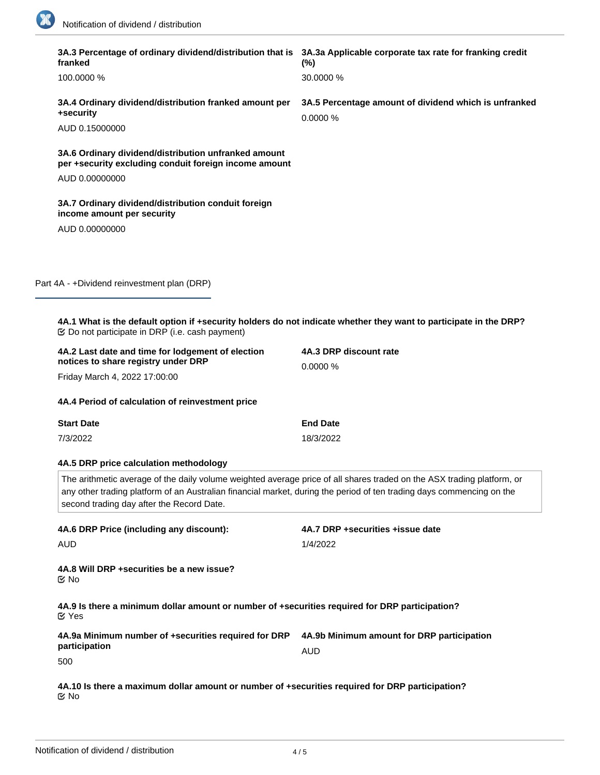$\overline{\phantom{0}}$ 

| 3A.3 Percentage of ordinary dividend/distribution that is 3A.3a Applicable corporate tax rate for franking credit<br>franked                                                                                                                                                                 | $(\%)$                                                           |  |
|----------------------------------------------------------------------------------------------------------------------------------------------------------------------------------------------------------------------------------------------------------------------------------------------|------------------------------------------------------------------|--|
| 100.0000 %                                                                                                                                                                                                                                                                                   | 30.0000 %                                                        |  |
| 3A.4 Ordinary dividend/distribution franked amount per<br>+security                                                                                                                                                                                                                          | 3A.5 Percentage amount of dividend which is unfranked<br>0.0000% |  |
| AUD 0.15000000                                                                                                                                                                                                                                                                               |                                                                  |  |
| 3A.6 Ordinary dividend/distribution unfranked amount<br>per +security excluding conduit foreign income amount                                                                                                                                                                                |                                                                  |  |
| AUD 0.00000000                                                                                                                                                                                                                                                                               |                                                                  |  |
| 3A.7 Ordinary dividend/distribution conduit foreign<br>income amount per security                                                                                                                                                                                                            |                                                                  |  |
| AUD 0.00000000                                                                                                                                                                                                                                                                               |                                                                  |  |
|                                                                                                                                                                                                                                                                                              |                                                                  |  |
| Part 4A - +Dividend reinvestment plan (DRP)                                                                                                                                                                                                                                                  |                                                                  |  |
| 4A.1 What is the default option if +security holders do not indicate whether they want to participate in the DRP?                                                                                                                                                                            |                                                                  |  |
| 4A.2 Last date and time for lodgement of election<br>notices to share registry under DRP                                                                                                                                                                                                     | 4A.3 DRP discount rate<br>0.0000 %                               |  |
| Friday March 4, 2022 17:00:00                                                                                                                                                                                                                                                                |                                                                  |  |
| 4A.4 Period of calculation of reinvestment price                                                                                                                                                                                                                                             |                                                                  |  |
| <b>Start Date</b>                                                                                                                                                                                                                                                                            | <b>End Date</b>                                                  |  |
| 7/3/2022                                                                                                                                                                                                                                                                                     | 18/3/2022                                                        |  |
| 4A.5 DRP price calculation methodology                                                                                                                                                                                                                                                       |                                                                  |  |
| The arithmetic average of the daily volume weighted average price of all shares traded on the ASX trading platform, or<br>any other trading platform of an Australian financial market, during the period of ten trading days commencing on the<br>second trading day after the Record Date. |                                                                  |  |
| 4A.6 DRP Price (including any discount):                                                                                                                                                                                                                                                     | 4A.7 DRP +securities +issue date                                 |  |
| <b>AUD</b>                                                                                                                                                                                                                                                                                   | 1/4/2022                                                         |  |
| 4A.8 Will DRP + securities be a new issue?<br><b>Mo</b>                                                                                                                                                                                                                                      |                                                                  |  |
| 4A.9 Is there a minimum dollar amount or number of +securities required for DRP participation?<br><b>M</b> Yes                                                                                                                                                                               |                                                                  |  |
| 4A.9a Minimum number of +securities required for DRP<br>participation                                                                                                                                                                                                                        | 4A.9b Minimum amount for DRP participation<br><b>AUD</b>         |  |
| 500                                                                                                                                                                                                                                                                                          |                                                                  |  |
| 4A.10 Is there a maximum dollar amount or number of +securities required for DRP participation?<br>ଙ No                                                                                                                                                                                      |                                                                  |  |

**4A.11 Are there any other conditions applying to DRP participation?**